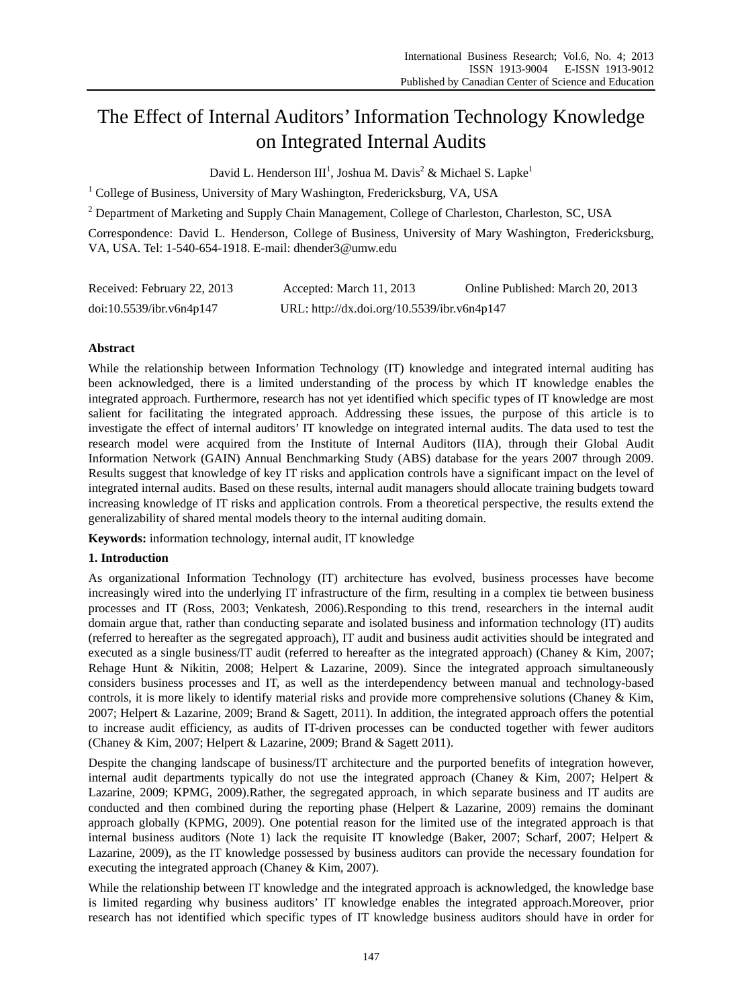# The Effect of Internal Auditors' Information Technology Knowledge on Integrated Internal Audits

David L. Henderson III<sup>1</sup>, Joshua M. Davis<sup>2</sup> & Michael S. Lapke<sup>1</sup>

<sup>1</sup> College of Business, University of Mary Washington, Fredericksburg, VA, USA

 $2^{2}$  Department of Marketing and Supply Chain Management, College of Charleston, Charleston, SC, USA

Correspondence: David L. Henderson, College of Business, University of Mary Washington, Fredericksburg, VA, USA. Tel: 1-540-654-1918. E-mail: dhender3@umw.edu

| Received: February 22, 2013 | Accepted: March 11, 2013                    | Online Published: March 20, 2013 |
|-----------------------------|---------------------------------------------|----------------------------------|
| doi:10.5539/ibr.v6n4p147    | URL: http://dx.doi.org/10.5539/ibr.v6n4p147 |                                  |

# **Abstract**

While the relationship between Information Technology (IT) knowledge and integrated internal auditing has been acknowledged, there is a limited understanding of the process by which IT knowledge enables the integrated approach. Furthermore, research has not yet identified which specific types of IT knowledge are most salient for facilitating the integrated approach. Addressing these issues, the purpose of this article is to investigate the effect of internal auditors' IT knowledge on integrated internal audits. The data used to test the research model were acquired from the Institute of Internal Auditors (IIA), through their Global Audit Information Network (GAIN) Annual Benchmarking Study (ABS) database for the years 2007 through 2009. Results suggest that knowledge of key IT risks and application controls have a significant impact on the level of integrated internal audits. Based on these results, internal audit managers should allocate training budgets toward increasing knowledge of IT risks and application controls. From a theoretical perspective, the results extend the generalizability of shared mental models theory to the internal auditing domain.

**Keywords:** information technology, internal audit, IT knowledge

## **1. Introduction**

As organizational Information Technology (IT) architecture has evolved, business processes have become increasingly wired into the underlying IT infrastructure of the firm, resulting in a complex tie between business processes and IT (Ross, 2003; Venkatesh, 2006).Responding to this trend, researchers in the internal audit domain argue that, rather than conducting separate and isolated business and information technology (IT) audits (referred to hereafter as the segregated approach), IT audit and business audit activities should be integrated and executed as a single business/IT audit (referred to hereafter as the integrated approach) (Chaney & Kim, 2007; Rehage Hunt & Nikitin, 2008; Helpert & Lazarine, 2009). Since the integrated approach simultaneously considers business processes and IT, as well as the interdependency between manual and technology-based controls, it is more likely to identify material risks and provide more comprehensive solutions (Chaney & Kim, 2007; Helpert & Lazarine, 2009; Brand & Sagett, 2011). In addition, the integrated approach offers the potential to increase audit efficiency, as audits of IT-driven processes can be conducted together with fewer auditors (Chaney & Kim, 2007; Helpert & Lazarine, 2009; Brand & Sagett 2011).

Despite the changing landscape of business/IT architecture and the purported benefits of integration however, internal audit departments typically do not use the integrated approach (Chaney & Kim, 2007; Helpert & Lazarine, 2009; KPMG, 2009).Rather, the segregated approach, in which separate business and IT audits are conducted and then combined during the reporting phase (Helpert  $&$  Lazarine, 2009) remains the dominant approach globally (KPMG, 2009). One potential reason for the limited use of the integrated approach is that internal business auditors (Note 1) lack the requisite IT knowledge (Baker, 2007; Scharf, 2007; Helpert & Lazarine, 2009), as the IT knowledge possessed by business auditors can provide the necessary foundation for executing the integrated approach (Chaney & Kim, 2007).

While the relationship between IT knowledge and the integrated approach is acknowledged, the knowledge base is limited regarding why business auditors' IT knowledge enables the integrated approach.Moreover, prior research has not identified which specific types of IT knowledge business auditors should have in order for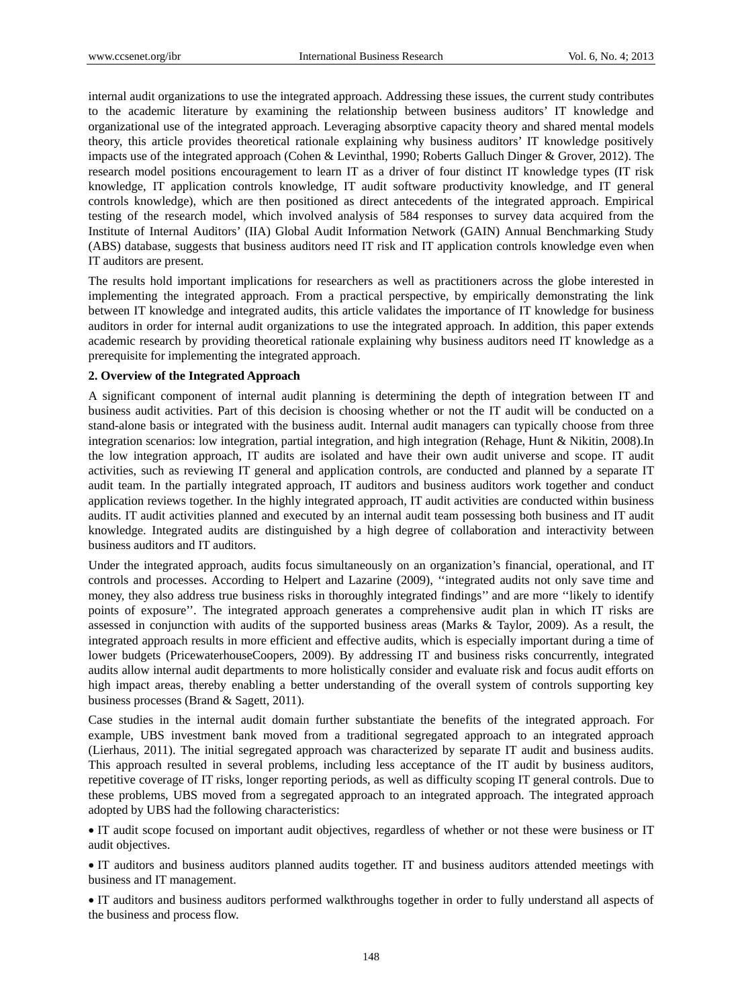internal audit organizations to use the integrated approach. Addressing these issues, the current study contributes to the academic literature by examining the relationship between business auditors' IT knowledge and organizational use of the integrated approach. Leveraging absorptive capacity theory and shared mental models theory, this article provides theoretical rationale explaining why business auditors' IT knowledge positively impacts use of the integrated approach (Cohen & Levinthal, 1990; Roberts Galluch Dinger & Grover, 2012). The research model positions encouragement to learn IT as a driver of four distinct IT knowledge types (IT risk knowledge, IT application controls knowledge, IT audit software productivity knowledge, and IT general controls knowledge), which are then positioned as direct antecedents of the integrated approach. Empirical testing of the research model, which involved analysis of 584 responses to survey data acquired from the Institute of Internal Auditors' (IIA) Global Audit Information Network (GAIN) Annual Benchmarking Study (ABS) database, suggests that business auditors need IT risk and IT application controls knowledge even when IT auditors are present.

The results hold important implications for researchers as well as practitioners across the globe interested in implementing the integrated approach. From a practical perspective, by empirically demonstrating the link between IT knowledge and integrated audits, this article validates the importance of IT knowledge for business auditors in order for internal audit organizations to use the integrated approach. In addition, this paper extends academic research by providing theoretical rationale explaining why business auditors need IT knowledge as a prerequisite for implementing the integrated approach.

#### **2. Overview of the Integrated Approach**

A significant component of internal audit planning is determining the depth of integration between IT and business audit activities. Part of this decision is choosing whether or not the IT audit will be conducted on a stand-alone basis or integrated with the business audit. Internal audit managers can typically choose from three integration scenarios: low integration, partial integration, and high integration (Rehage, Hunt & Nikitin, 2008).In the low integration approach, IT audits are isolated and have their own audit universe and scope. IT audit activities, such as reviewing IT general and application controls, are conducted and planned by a separate IT audit team. In the partially integrated approach, IT auditors and business auditors work together and conduct application reviews together. In the highly integrated approach, IT audit activities are conducted within business audits. IT audit activities planned and executed by an internal audit team possessing both business and IT audit knowledge. Integrated audits are distinguished by a high degree of collaboration and interactivity between business auditors and IT auditors.

Under the integrated approach, audits focus simultaneously on an organization's financial, operational, and IT controls and processes. According to Helpert and Lazarine (2009), ''integrated audits not only save time and money, they also address true business risks in thoroughly integrated findings'' and are more ''likely to identify points of exposure''. The integrated approach generates a comprehensive audit plan in which IT risks are assessed in conjunction with audits of the supported business areas (Marks & Taylor, 2009). As a result, the integrated approach results in more efficient and effective audits, which is especially important during a time of lower budgets (PricewaterhouseCoopers, 2009). By addressing IT and business risks concurrently, integrated audits allow internal audit departments to more holistically consider and evaluate risk and focus audit efforts on high impact areas, thereby enabling a better understanding of the overall system of controls supporting key business processes (Brand & Sagett, 2011).

Case studies in the internal audit domain further substantiate the benefits of the integrated approach. For example, UBS investment bank moved from a traditional segregated approach to an integrated approach (Lierhaus, 2011). The initial segregated approach was characterized by separate IT audit and business audits. This approach resulted in several problems, including less acceptance of the IT audit by business auditors, repetitive coverage of IT risks, longer reporting periods, as well as difficulty scoping IT general controls. Due to these problems, UBS moved from a segregated approach to an integrated approach. The integrated approach adopted by UBS had the following characteristics:

 IT audit scope focused on important audit objectives, regardless of whether or not these were business or IT audit objectives.

 IT auditors and business auditors planned audits together. IT and business auditors attended meetings with business and IT management.

 IT auditors and business auditors performed walkthroughs together in order to fully understand all aspects of the business and process flow.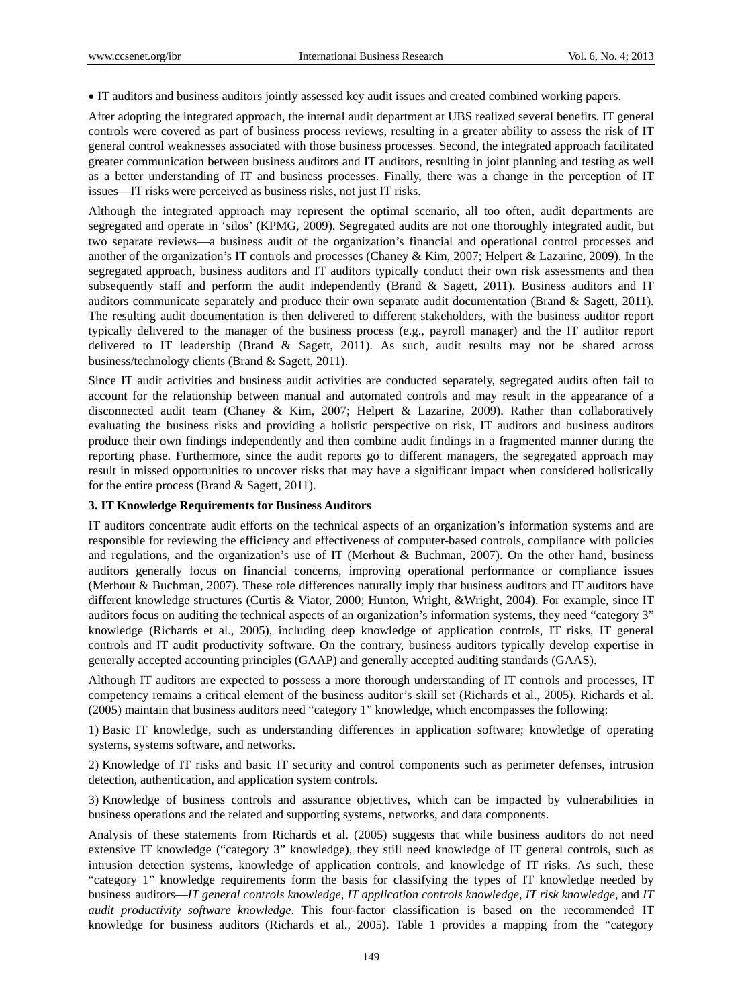IT auditors and business auditors jointly assessed key audit issues and created combined working papers.

After adopting the integrated approach, the internal audit department at UBS realized several benefits. IT general controls were covered as part of business process reviews, resulting in a greater ability to assess the risk of IT general control weaknesses associated with those business processes. Second, the integrated approach facilitated greater communication between business auditors and IT auditors, resulting in joint planning and testing as well as a better understanding of IT and business processes. Finally, there was a change in the perception of IT issues—IT risks were perceived as business risks, not just IT risks.

Although the integrated approach may represent the optimal scenario, all too often, audit departments are segregated and operate in 'silos' (KPMG, 2009). Segregated audits are not one thoroughly integrated audit, but two separate reviews—a business audit of the organization's financial and operational control processes and another of the organization's IT controls and processes (Chaney & Kim, 2007; Helpert & Lazarine, 2009). In the segregated approach, business auditors and IT auditors typically conduct their own risk assessments and then subsequently staff and perform the audit independently (Brand & Sagett, 2011). Business auditors and IT auditors communicate separately and produce their own separate audit documentation (Brand & Sagett, 2011). The resulting audit documentation is then delivered to different stakeholders, with the business auditor report typically delivered to the manager of the business process (e.g., payroll manager) and the IT auditor report delivered to IT leadership (Brand & Sagett, 2011). As such, audit results may not be shared across business/technology clients (Brand & Sagett, 2011).

Since IT audit activities and business audit activities are conducted separately, segregated audits often fail to account for the relationship between manual and automated controls and may result in the appearance of a disconnected audit team (Chaney & Kim, 2007; Helpert & Lazarine, 2009). Rather than collaboratively evaluating the business risks and providing a holistic perspective on risk, IT auditors and business auditors produce their own findings independently and then combine audit findings in a fragmented manner during the reporting phase. Furthermore, since the audit reports go to different managers, the segregated approach may result in missed opportunities to uncover risks that may have a significant impact when considered holistically for the entire process (Brand & Sagett, 2011).

#### **3. IT Knowledge Requirements for Business Auditors**

IT auditors concentrate audit efforts on the technical aspects of an organization's information systems and are responsible for reviewing the efficiency and effectiveness of computer-based controls, compliance with policies and regulations, and the organization's use of IT (Merhout & Buchman, 2007). On the other hand, business auditors generally focus on financial concerns, improving operational performance or compliance issues (Merhout & Buchman, 2007). These role differences naturally imply that business auditors and IT auditors have different knowledge structures (Curtis & Viator, 2000; Hunton, Wright, &Wright, 2004). For example, since IT auditors focus on auditing the technical aspects of an organization's information systems, they need "category 3" knowledge (Richards et al., 2005), including deep knowledge of application controls, IT risks, IT general controls and IT audit productivity software. On the contrary, business auditors typically develop expertise in generally accepted accounting principles (GAAP) and generally accepted auditing standards (GAAS).

Although IT auditors are expected to possess a more thorough understanding of IT controls and processes, IT competency remains a critical element of the business auditor's skill set (Richards et al., 2005). Richards et al. (2005) maintain that business auditors need "category 1" knowledge, which encompasses the following:

1) Basic IT knowledge, such as understanding differences in application software; knowledge of operating systems, systems software, and networks.

2) Knowledge of IT risks and basic IT security and control components such as perimeter defenses, intrusion detection, authentication, and application system controls.

3) Knowledge of business controls and assurance objectives, which can be impacted by vulnerabilities in business operations and the related and supporting systems, networks, and data components.

Analysis of these statements from Richards et al. (2005) suggests that while business auditors do not need extensive IT knowledge ("category 3" knowledge), they still need knowledge of IT general controls, such as intrusion detection systems, knowledge of application controls, and knowledge of IT risks. As such, these "category 1" knowledge requirements form the basis for classifying the types of IT knowledge needed by business auditors—*IT general controls knowledge*, *IT application controls knowledge*, *IT risk knowledge,* and *IT audit productivity software knowledge*. This four-factor classification is based on the recommended IT knowledge for business auditors (Richards et al., 2005). Table 1 provides a mapping from the "category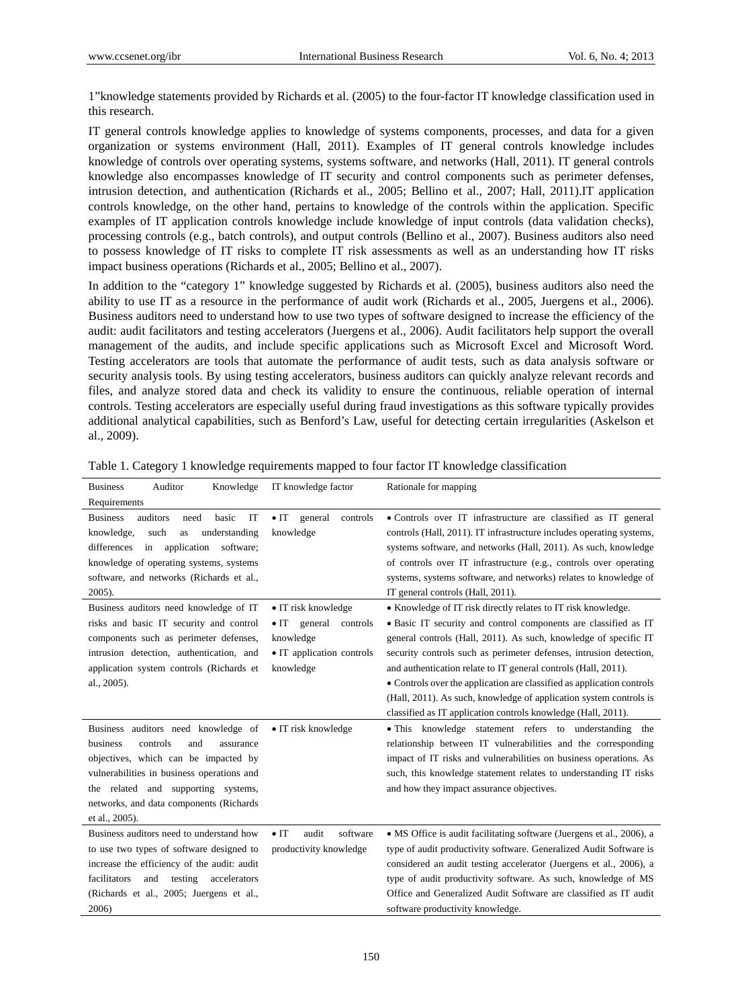1"knowledge statements provided by Richards et al. (2005) to the four-factor IT knowledge classification used in this research.

IT general controls knowledge applies to knowledge of systems components, processes, and data for a given organization or systems environment (Hall, 2011). Examples of IT general controls knowledge includes knowledge of controls over operating systems, systems software, and networks (Hall, 2011). IT general controls knowledge also encompasses knowledge of IT security and control components such as perimeter defenses, intrusion detection, and authentication (Richards et al., 2005; Bellino et al., 2007; Hall, 2011).IT application controls knowledge, on the other hand, pertains to knowledge of the controls within the application. Specific examples of IT application controls knowledge include knowledge of input controls (data validation checks), processing controls (e.g., batch controls), and output controls (Bellino et al., 2007). Business auditors also need to possess knowledge of IT risks to complete IT risk assessments as well as an understanding how IT risks impact business operations (Richards et al., 2005; Bellino et al., 2007).

In addition to the "category 1" knowledge suggested by Richards et al. (2005), business auditors also need the ability to use IT as a resource in the performance of audit work (Richards et al., 2005, Juergens et al., 2006). Business auditors need to understand how to use two types of software designed to increase the efficiency of the audit: audit facilitators and testing accelerators (Juergens et al., 2006). Audit facilitators help support the overall management of the audits, and include specific applications such as Microsoft Excel and Microsoft Word. Testing accelerators are tools that automate the performance of audit tests, such as data analysis software or security analysis tools. By using testing accelerators, business auditors can quickly analyze relevant records and files, and analyze stored data and check its validity to ensure the continuous, reliable operation of internal controls. Testing accelerators are especially useful during fraud investigations as this software typically provides additional analytical capabilities, such as Benford's Law, useful for detecting certain irregularities (Askelson et al., 2009).

| Knowledge<br><b>Business</b><br>Auditor                                                                                                                                                                                                                                   | IT knowledge factor                                                                                               | Rationale for mapping                                                                                                                                                                                                                                                                                                                                                                                                                                                                                                                                         |
|---------------------------------------------------------------------------------------------------------------------------------------------------------------------------------------------------------------------------------------------------------------------------|-------------------------------------------------------------------------------------------------------------------|---------------------------------------------------------------------------------------------------------------------------------------------------------------------------------------------------------------------------------------------------------------------------------------------------------------------------------------------------------------------------------------------------------------------------------------------------------------------------------------------------------------------------------------------------------------|
| Requirements                                                                                                                                                                                                                                                              |                                                                                                                   |                                                                                                                                                                                                                                                                                                                                                                                                                                                                                                                                                               |
| auditors<br>IT<br><b>Business</b><br>need<br>basic<br>knowledge,<br>such<br>understanding<br>as<br>application<br>differences<br>in<br>software;<br>knowledge of operating systems, systems<br>software, and networks (Richards et al.,<br>2005).                         | $\bullet$ IT<br>general<br>controls<br>knowledge                                                                  | · Controls over IT infrastructure are classified as IT general<br>controls (Hall, 2011). IT infrastructure includes operating systems,<br>systems software, and networks (Hall, 2011). As such, knowledge<br>of controls over IT infrastructure (e.g., controls over operating<br>systems, systems software, and networks) relates to knowledge of<br>IT general controls (Hall, 2011).                                                                                                                                                                       |
| Business auditors need knowledge of IT<br>risks and basic IT security and control<br>components such as perimeter defenses,<br>intrusion detection, authentication, and<br>application system controls (Richards et<br>al., 2005).                                        | • IT risk knowledge<br>general<br>$\bullet$ IT<br>controls<br>knowledge<br>• IT application controls<br>knowledge | • Knowledge of IT risk directly relates to IT risk knowledge.<br>· Basic IT security and control components are classified as IT<br>general controls (Hall, 2011). As such, knowledge of specific IT<br>security controls such as perimeter defenses, intrusion detection,<br>and authentication relate to IT general controls (Hall, 2011).<br>• Controls over the application are classified as application controls<br>(Hall, 2011). As such, knowledge of application system controls is<br>classified as IT application controls knowledge (Hall, 2011). |
| Business auditors need knowledge of<br>business<br>controls<br>and<br>assurance<br>objectives, which can be impacted by<br>vulnerabilities in business operations and<br>the related and supporting systems,<br>networks, and data components (Richards<br>et al., 2005). | • IT risk knowledge                                                                                               | • This knowledge statement refers to understanding<br>the<br>relationship between IT vulnerabilities and the corresponding<br>impact of IT risks and vulnerabilities on business operations. As<br>such, this knowledge statement relates to understanding IT risks<br>and how they impact assurance objectives.                                                                                                                                                                                                                                              |
| Business auditors need to understand how<br>to use two types of software designed to<br>increase the efficiency of the audit: audit<br>facilitators<br>and<br>accelerators<br>testing<br>(Richards et al., 2005; Juergens et al.,<br>2006)                                | $\bullet$ IT<br>audit<br>software<br>productivity knowledge                                                       | • MS Office is audit facilitating software (Juergens et al., 2006), a<br>type of audit productivity software. Generalized Audit Software is<br>considered an audit testing accelerator (Juergens et al., 2006), a<br>type of audit productivity software. As such, knowledge of MS<br>Office and Generalized Audit Software are classified as IT audit<br>software productivity knowledge.                                                                                                                                                                    |

Table 1. Category 1 knowledge requirements mapped to four factor IT knowledge classification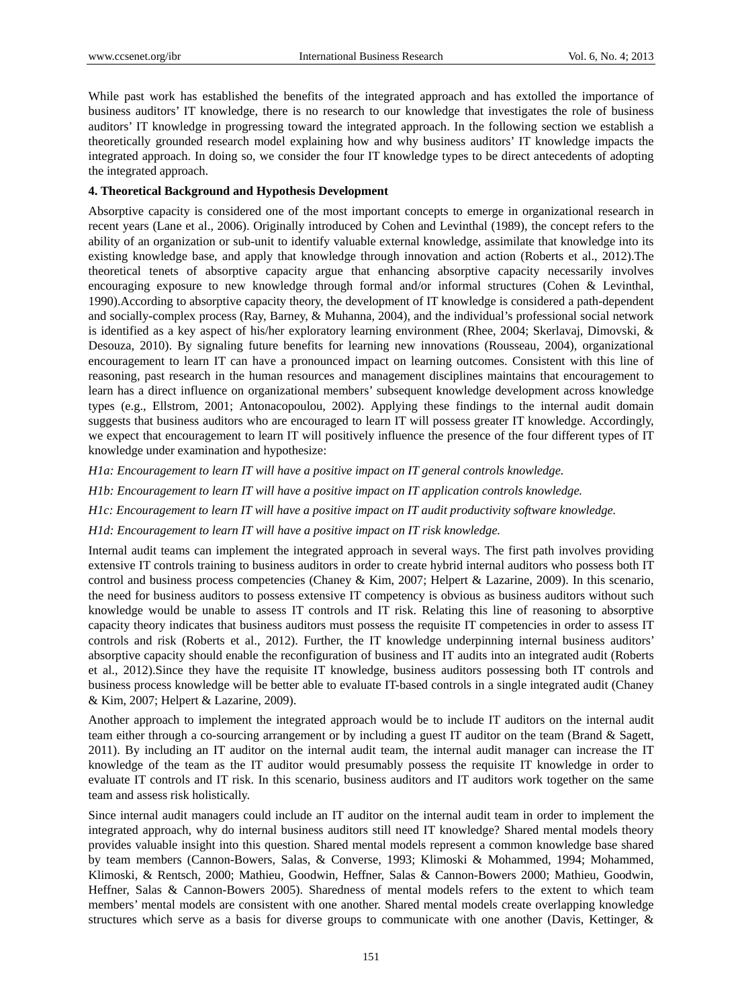While past work has established the benefits of the integrated approach and has extolled the importance of business auditors' IT knowledge, there is no research to our knowledge that investigates the role of business auditors' IT knowledge in progressing toward the integrated approach. In the following section we establish a theoretically grounded research model explaining how and why business auditors' IT knowledge impacts the integrated approach. In doing so, we consider the four IT knowledge types to be direct antecedents of adopting the integrated approach.

# **4. Theoretical Background and Hypothesis Development**

Absorptive capacity is considered one of the most important concepts to emerge in organizational research in recent years (Lane et al., 2006). Originally introduced by Cohen and Levinthal (1989), the concept refers to the ability of an organization or sub-unit to identify valuable external knowledge, assimilate that knowledge into its existing knowledge base, and apply that knowledge through innovation and action (Roberts et al., 2012).The theoretical tenets of absorptive capacity argue that enhancing absorptive capacity necessarily involves encouraging exposure to new knowledge through formal and/or informal structures (Cohen & Levinthal, 1990).According to absorptive capacity theory, the development of IT knowledge is considered a path-dependent and socially-complex process (Ray, Barney, & Muhanna, 2004), and the individual's professional social network is identified as a key aspect of his/her exploratory learning environment (Rhee, 2004; Skerlavaj, Dimovski, & Desouza, 2010). By signaling future benefits for learning new innovations (Rousseau, 2004), organizational encouragement to learn IT can have a pronounced impact on learning outcomes. Consistent with this line of reasoning, past research in the human resources and management disciplines maintains that encouragement to learn has a direct influence on organizational members' subsequent knowledge development across knowledge types (e.g., Ellstrom, 2001; Antonacopoulou, 2002). Applying these findings to the internal audit domain suggests that business auditors who are encouraged to learn IT will possess greater IT knowledge. Accordingly, we expect that encouragement to learn IT will positively influence the presence of the four different types of IT knowledge under examination and hypothesize:

*H1a: Encouragement to learn IT will have a positive impact on IT general controls knowledge.* 

*H1b: Encouragement to learn IT will have a positive impact on IT application controls knowledge.* 

*H1c: Encouragement to learn IT will have a positive impact on IT audit productivity software knowledge.* 

*H1d: Encouragement to learn IT will have a positive impact on IT risk knowledge.* 

Internal audit teams can implement the integrated approach in several ways. The first path involves providing extensive IT controls training to business auditors in order to create hybrid internal auditors who possess both IT control and business process competencies (Chaney & Kim, 2007; Helpert & Lazarine, 2009). In this scenario, the need for business auditors to possess extensive IT competency is obvious as business auditors without such knowledge would be unable to assess IT controls and IT risk. Relating this line of reasoning to absorptive capacity theory indicates that business auditors must possess the requisite IT competencies in order to assess IT controls and risk (Roberts et al., 2012). Further, the IT knowledge underpinning internal business auditors' absorptive capacity should enable the reconfiguration of business and IT audits into an integrated audit (Roberts et al., 2012).Since they have the requisite IT knowledge, business auditors possessing both IT controls and business process knowledge will be better able to evaluate IT-based controls in a single integrated audit (Chaney & Kim, 2007; Helpert & Lazarine, 2009).

Another approach to implement the integrated approach would be to include IT auditors on the internal audit team either through a co-sourcing arrangement or by including a guest IT auditor on the team (Brand & Sagett, 2011). By including an IT auditor on the internal audit team, the internal audit manager can increase the IT knowledge of the team as the IT auditor would presumably possess the requisite IT knowledge in order to evaluate IT controls and IT risk. In this scenario, business auditors and IT auditors work together on the same team and assess risk holistically.

Since internal audit managers could include an IT auditor on the internal audit team in order to implement the integrated approach, why do internal business auditors still need IT knowledge? Shared mental models theory provides valuable insight into this question. Shared mental models represent a common knowledge base shared by team members (Cannon-Bowers, Salas, & Converse, 1993; Klimoski & Mohammed, 1994; Mohammed, Klimoski, & Rentsch, 2000; Mathieu, Goodwin, Heffner, Salas & Cannon-Bowers 2000; Mathieu, Goodwin, Heffner, Salas & Cannon-Bowers 2005). Sharedness of mental models refers to the extent to which team members' mental models are consistent with one another. Shared mental models create overlapping knowledge structures which serve as a basis for diverse groups to communicate with one another (Davis, Kettinger, &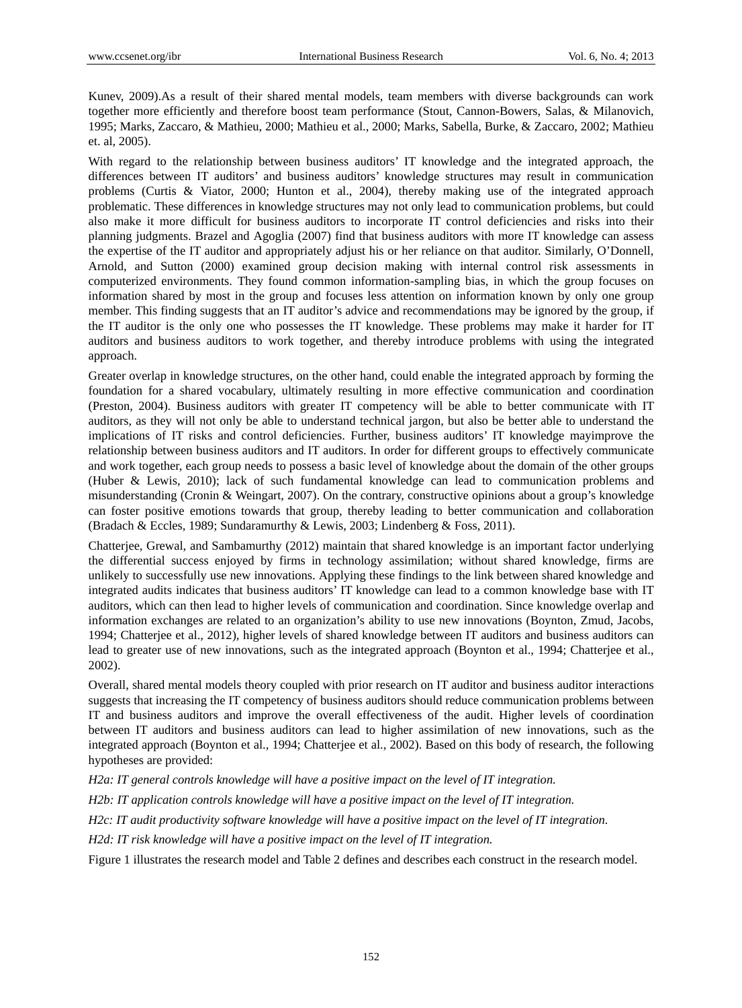Kunev, 2009).As a result of their shared mental models, team members with diverse backgrounds can work together more efficiently and therefore boost team performance (Stout, Cannon-Bowers, Salas, & Milanovich, 1995; Marks, Zaccaro, & Mathieu, 2000; Mathieu et al., 2000; Marks, Sabella, Burke, & Zaccaro, 2002; Mathieu et. al, 2005).

With regard to the relationship between business auditors' IT knowledge and the integrated approach, the differences between IT auditors' and business auditors' knowledge structures may result in communication problems (Curtis & Viator, 2000; Hunton et al., 2004), thereby making use of the integrated approach problematic. These differences in knowledge structures may not only lead to communication problems, but could also make it more difficult for business auditors to incorporate IT control deficiencies and risks into their planning judgments. Brazel and Agoglia (2007) find that business auditors with more IT knowledge can assess the expertise of the IT auditor and appropriately adjust his or her reliance on that auditor. Similarly, O'Donnell, Arnold, and Sutton (2000) examined group decision making with internal control risk assessments in computerized environments. They found common information-sampling bias, in which the group focuses on information shared by most in the group and focuses less attention on information known by only one group member. This finding suggests that an IT auditor's advice and recommendations may be ignored by the group, if the IT auditor is the only one who possesses the IT knowledge. These problems may make it harder for IT auditors and business auditors to work together, and thereby introduce problems with using the integrated approach.

Greater overlap in knowledge structures, on the other hand, could enable the integrated approach by forming the foundation for a shared vocabulary, ultimately resulting in more effective communication and coordination (Preston, 2004). Business auditors with greater IT competency will be able to better communicate with IT auditors, as they will not only be able to understand technical jargon, but also be better able to understand the implications of IT risks and control deficiencies. Further, business auditors' IT knowledge mayimprove the relationship between business auditors and IT auditors. In order for different groups to effectively communicate and work together, each group needs to possess a basic level of knowledge about the domain of the other groups (Huber & Lewis, 2010); lack of such fundamental knowledge can lead to communication problems and misunderstanding (Cronin & Weingart, 2007). On the contrary, constructive opinions about a group's knowledge can foster positive emotions towards that group, thereby leading to better communication and collaboration (Bradach & Eccles, 1989; Sundaramurthy & Lewis, 2003; Lindenberg & Foss, 2011).

Chatterjee, Grewal, and Sambamurthy (2012) maintain that shared knowledge is an important factor underlying the differential success enjoyed by firms in technology assimilation; without shared knowledge, firms are unlikely to successfully use new innovations. Applying these findings to the link between shared knowledge and integrated audits indicates that business auditors' IT knowledge can lead to a common knowledge base with IT auditors, which can then lead to higher levels of communication and coordination. Since knowledge overlap and information exchanges are related to an organization's ability to use new innovations (Boynton, Zmud, Jacobs, 1994; Chatterjee et al., 2012), higher levels of shared knowledge between IT auditors and business auditors can lead to greater use of new innovations, such as the integrated approach (Boynton et al., 1994; Chatterjee et al., 2002).

Overall, shared mental models theory coupled with prior research on IT auditor and business auditor interactions suggests that increasing the IT competency of business auditors should reduce communication problems between IT and business auditors and improve the overall effectiveness of the audit. Higher levels of coordination between IT auditors and business auditors can lead to higher assimilation of new innovations, such as the integrated approach (Boynton et al., 1994; Chatterjee et al., 2002). Based on this body of research, the following hypotheses are provided:

*H2a: IT general controls knowledge will have a positive impact on the level of IT integration.* 

*H2b: IT application controls knowledge will have a positive impact on the level of IT integration.* 

*H2c: IT audit productivity software knowledge will have a positive impact on the level of IT integration.* 

*H2d: IT risk knowledge will have a positive impact on the level of IT integration.* 

Figure 1 illustrates the research model and Table 2 defines and describes each construct in the research model.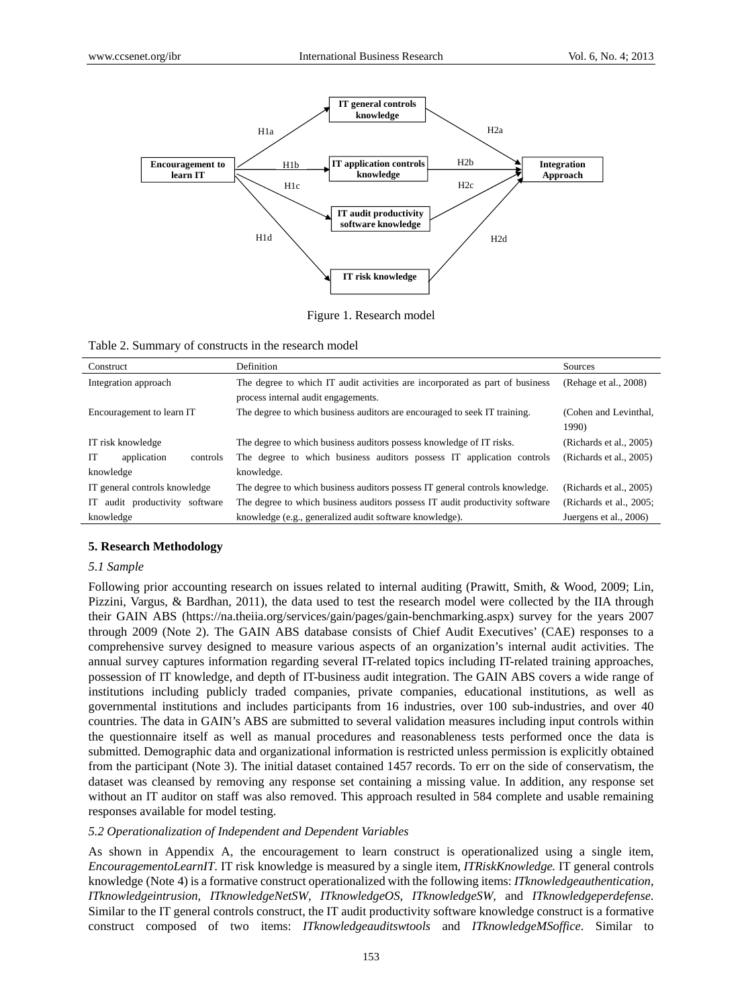

Figure 1. Research model

| Table 2. Summary of constructs in the research model |  |  |  |
|------------------------------------------------------|--|--|--|
|------------------------------------------------------|--|--|--|

| Construct                      | Definition                                                                   | Sources                         |
|--------------------------------|------------------------------------------------------------------------------|---------------------------------|
| Integration approach           | The degree to which IT audit activities are incorporated as part of business | (Rehage et al., 2008)           |
|                                | process internal audit engagements.                                          |                                 |
| Encouragement to learn IT      | The degree to which business auditors are encouraged to seek IT training.    | (Cohen and Levinthal.)<br>1990) |
| IT risk knowledge              | The degree to which business auditors possess knowledge of IT risks.         | (Richards et al., 2005)         |
| IT<br>application<br>controls  | The degree to which business auditors possess IT application controls        | (Richards et al., 2005)         |
| knowledge                      | knowledge.                                                                   |                                 |
| IT general controls knowledge  | The degree to which business auditors possess IT general controls knowledge. | (Richards et al., 2005)         |
| IT audit productivity software | The degree to which business auditors possess IT audit productivity software | (Richards et al., 2005;         |
| knowledge                      | knowledge (e.g., generalized audit software knowledge).                      | Juergens et al., 2006)          |

#### **5. Research Methodology**

#### *5.1 Sample*

Following prior accounting research on issues related to internal auditing (Prawitt, Smith, & Wood, 2009; Lin, Pizzini, Vargus, & Bardhan, 2011), the data used to test the research model were collected by the IIA through their GAIN ABS (https://na.theiia.org/services/gain/pages/gain-benchmarking.aspx) survey for the years 2007 through 2009 (Note 2). The GAIN ABS database consists of Chief Audit Executives' (CAE) responses to a comprehensive survey designed to measure various aspects of an organization's internal audit activities. The annual survey captures information regarding several IT-related topics including IT-related training approaches, possession of IT knowledge, and depth of IT-business audit integration. The GAIN ABS covers a wide range of institutions including publicly traded companies, private companies, educational institutions, as well as governmental institutions and includes participants from 16 industries, over 100 sub-industries, and over 40 countries. The data in GAIN's ABS are submitted to several validation measures including input controls within the questionnaire itself as well as manual procedures and reasonableness tests performed once the data is submitted. Demographic data and organizational information is restricted unless permission is explicitly obtained from the participant (Note 3). The initial dataset contained 1457 records. To err on the side of conservatism, the dataset was cleansed by removing any response set containing a missing value. In addition, any response set without an IT auditor on staff was also removed. This approach resulted in 584 complete and usable remaining responses available for model testing.

#### *5.2 Operationalization of Independent and Dependent Variables*

As shown in Appendix A, the encouragement to learn construct is operationalized using a single item, *EncouragementoLearnIT*. IT risk knowledge is measured by a single item, *ITRiskKnowledge.* IT general controls knowledge (Note 4) is a formative construct operationalized with the following items: *ITknowledgeauthentication*, *ITknowledgeintrusion*, *ITknowledgeNetSW*, *ITknowledgeOS*, *ITknowledgeSW*, and *ITknowledgeperdefense*. Similar to the IT general controls construct, the IT audit productivity software knowledge construct is a formative construct composed of two items: *ITknowledgeauditswtools* and *ITknowledgeMSoffice*. Similar to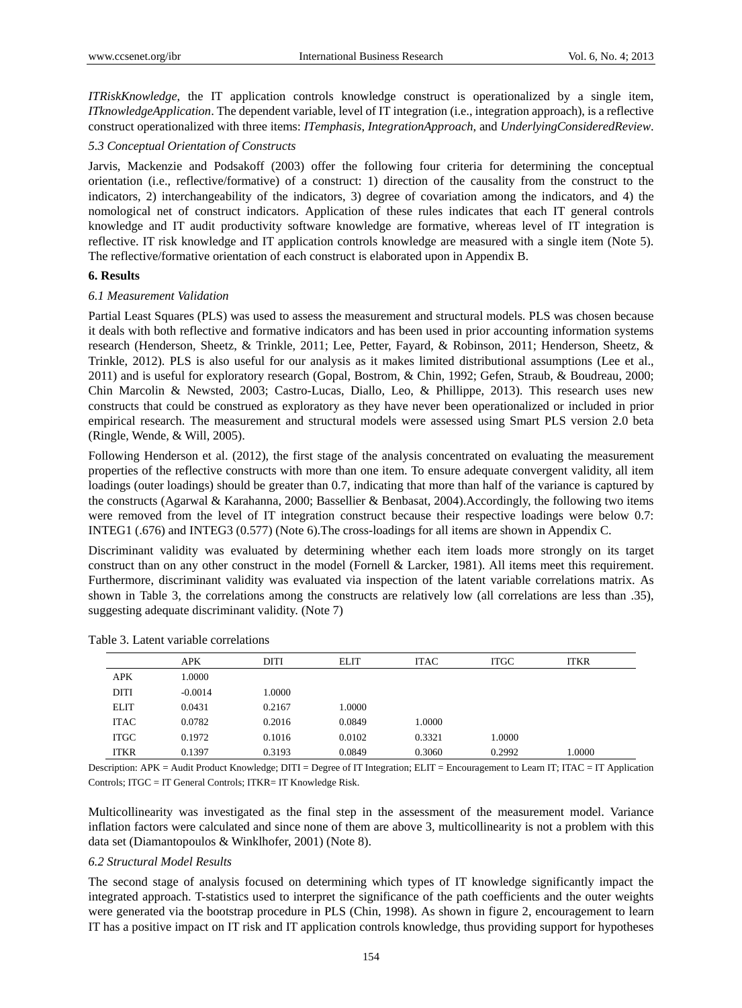*ITRiskKnowledge*, the IT application controls knowledge construct is operationalized by a single item, *ITknowledgeApplication*. The dependent variable, level of IT integration (i.e., integration approach), is a reflective construct operationalized with three items: *ITemphasis*, *IntegrationApproach*, and *UnderlyingConsideredReview*.

# *5.3 Conceptual Orientation of Constructs*

Jarvis, Mackenzie and Podsakoff (2003) offer the following four criteria for determining the conceptual orientation (i.e., reflective/formative) of a construct: 1) direction of the causality from the construct to the indicators, 2) interchangeability of the indicators, 3) degree of covariation among the indicators, and 4) the nomological net of construct indicators. Application of these rules indicates that each IT general controls knowledge and IT audit productivity software knowledge are formative, whereas level of IT integration is reflective. IT risk knowledge and IT application controls knowledge are measured with a single item (Note 5). The reflective/formative orientation of each construct is elaborated upon in Appendix B.

#### **6. Results**

#### *6.1 Measurement Validation*

Partial Least Squares (PLS) was used to assess the measurement and structural models. PLS was chosen because it deals with both reflective and formative indicators and has been used in prior accounting information systems research (Henderson, Sheetz, & Trinkle, 2011; Lee, Petter, Fayard, & Robinson, 2011; Henderson, Sheetz, & Trinkle, 2012). PLS is also useful for our analysis as it makes limited distributional assumptions (Lee et al., 2011) and is useful for exploratory research (Gopal, Bostrom, & Chin, 1992; Gefen, Straub, & Boudreau, 2000; Chin Marcolin & Newsted, 2003; Castro-Lucas, Diallo, Leo, & Phillippe, 2013). This research uses new constructs that could be construed as exploratory as they have never been operationalized or included in prior empirical research. The measurement and structural models were assessed using Smart PLS version 2.0 beta (Ringle, Wende, & Will, 2005).

Following Henderson et al. (2012), the first stage of the analysis concentrated on evaluating the measurement properties of the reflective constructs with more than one item. To ensure adequate convergent validity, all item loadings (outer loadings) should be greater than 0.7, indicating that more than half of the variance is captured by the constructs (Agarwal & Karahanna, 2000; Bassellier & Benbasat, 2004).Accordingly, the following two items were removed from the level of IT integration construct because their respective loadings were below 0.7: INTEG1 (.676) and INTEG3 (0.577) (Note 6).The cross-loadings for all items are shown in Appendix C.

Discriminant validity was evaluated by determining whether each item loads more strongly on its target construct than on any other construct in the model (Fornell & Larcker, 1981). All items meet this requirement. Furthermore, discriminant validity was evaluated via inspection of the latent variable correlations matrix. As shown in Table 3, the correlations among the constructs are relatively low (all correlations are less than .35), suggesting adequate discriminant validity. (Note 7)

|             | <b>APK</b> | DITI   | <b>ELIT</b> | <b>ITAC</b> | <b>ITGC</b> | <b>ITKR</b> |  |
|-------------|------------|--------|-------------|-------------|-------------|-------------|--|
| <b>APK</b>  | 1.0000     |        |             |             |             |             |  |
| <b>DITI</b> | $-0.0014$  | 1.0000 |             |             |             |             |  |
| <b>ELIT</b> | 0.0431     | 0.2167 | 1.0000      |             |             |             |  |
| <b>ITAC</b> | 0.0782     | 0.2016 | 0.0849      | 1.0000      |             |             |  |
| <b>ITGC</b> | 0.1972     | 0.1016 | 0.0102      | 0.3321      | 1.0000      |             |  |
| <b>ITKR</b> | 0.1397     | 0.3193 | 0.0849      | 0.3060      | 0.2992      | 1.0000      |  |

Table 3. Latent variable correlations

Description: APK = Audit Product Knowledge; DITI = Degree of IT Integration; ELIT = Encouragement to Learn IT; ITAC = IT Application Controls; ITGC = IT General Controls; ITKR= IT Knowledge Risk.

Multicollinearity was investigated as the final step in the assessment of the measurement model. Variance inflation factors were calculated and since none of them are above 3, multicollinearity is not a problem with this data set (Diamantopoulos & Winklhofer, 2001) (Note 8).

#### *6.2 Structural Model Results*

The second stage of analysis focused on determining which types of IT knowledge significantly impact the integrated approach. T-statistics used to interpret the significance of the path coefficients and the outer weights were generated via the bootstrap procedure in PLS (Chin, 1998). As shown in figure 2, encouragement to learn IT has a positive impact on IT risk and IT application controls knowledge, thus providing support for hypotheses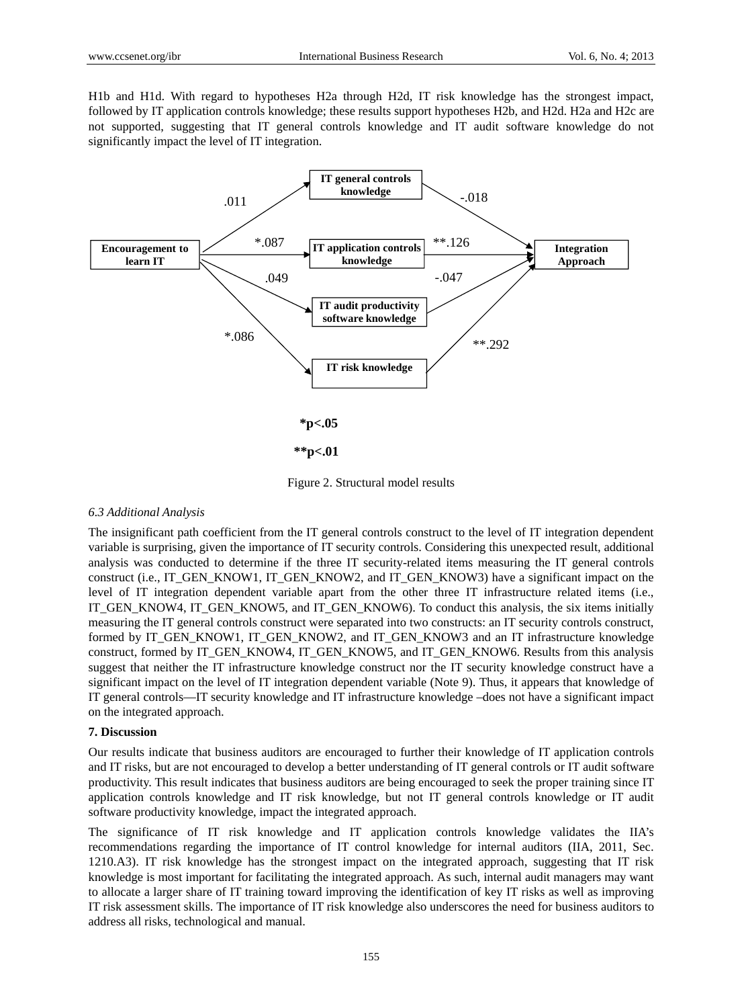H1b and H1d. With regard to hypotheses H2a through H2d, IT risk knowledge has the strongest impact, followed by IT application controls knowledge; these results support hypotheses H2b, and H2d. H2a and H2c are not supported, suggesting that IT general controls knowledge and IT audit software knowledge do not significantly impact the level of IT integration.



Figure 2. Structural model results

#### *6.3 Additional Analysis*

The insignificant path coefficient from the IT general controls construct to the level of IT integration dependent variable is surprising, given the importance of IT security controls. Considering this unexpected result, additional analysis was conducted to determine if the three IT security-related items measuring the IT general controls construct (i.e., IT\_GEN\_KNOW1, IT\_GEN\_KNOW2, and IT\_GEN\_KNOW3) have a significant impact on the level of IT integration dependent variable apart from the other three IT infrastructure related items (i.e., IT\_GEN\_KNOW4, IT\_GEN\_KNOW5, and IT\_GEN\_KNOW6). To conduct this analysis, the six items initially measuring the IT general controls construct were separated into two constructs: an IT security controls construct, formed by IT\_GEN\_KNOW1, IT\_GEN\_KNOW2, and IT\_GEN\_KNOW3 and an IT infrastructure knowledge construct, formed by IT\_GEN\_KNOW4, IT\_GEN\_KNOW5, and IT\_GEN\_KNOW6. Results from this analysis suggest that neither the IT infrastructure knowledge construct nor the IT security knowledge construct have a significant impact on the level of IT integration dependent variable (Note 9). Thus, it appears that knowledge of IT general controls—IT security knowledge and IT infrastructure knowledge –does not have a significant impact on the integrated approach.

#### **7. Discussion**

Our results indicate that business auditors are encouraged to further their knowledge of IT application controls and IT risks, but are not encouraged to develop a better understanding of IT general controls or IT audit software productivity. This result indicates that business auditors are being encouraged to seek the proper training since IT application controls knowledge and IT risk knowledge, but not IT general controls knowledge or IT audit software productivity knowledge, impact the integrated approach.

The significance of IT risk knowledge and IT application controls knowledge validates the IIA's recommendations regarding the importance of IT control knowledge for internal auditors (IIA, 2011, Sec. 1210.A3). IT risk knowledge has the strongest impact on the integrated approach, suggesting that IT risk knowledge is most important for facilitating the integrated approach. As such, internal audit managers may want to allocate a larger share of IT training toward improving the identification of key IT risks as well as improving IT risk assessment skills. The importance of IT risk knowledge also underscores the need for business auditors to address all risks, technological and manual.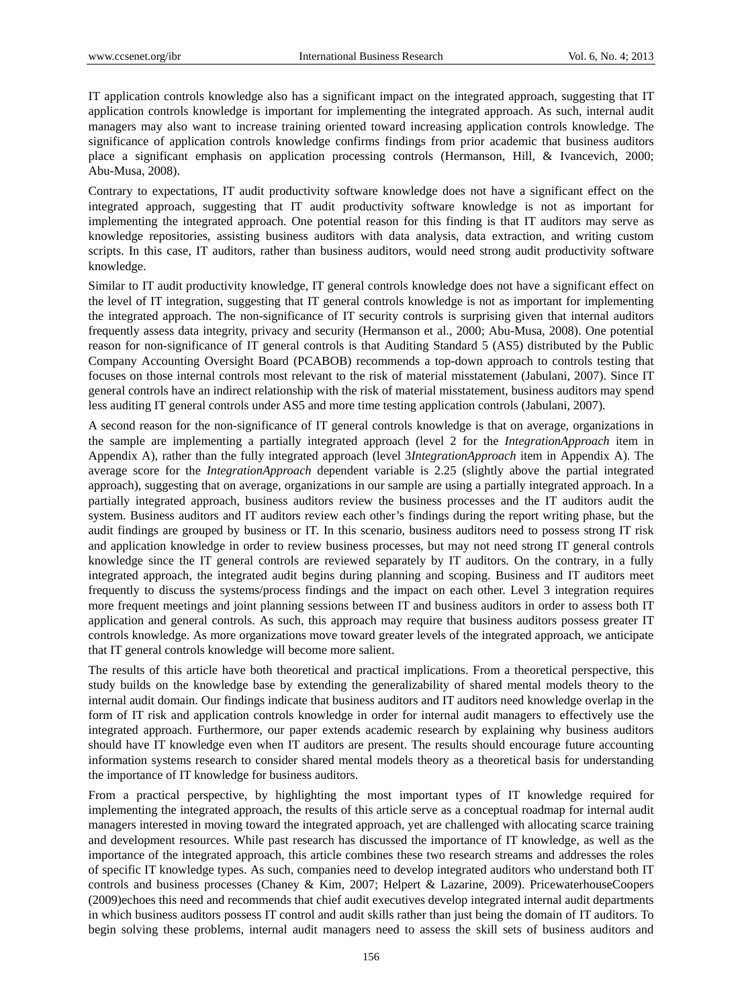IT application controls knowledge also has a significant impact on the integrated approach, suggesting that IT application controls knowledge is important for implementing the integrated approach. As such, internal audit managers may also want to increase training oriented toward increasing application controls knowledge. The significance of application controls knowledge confirms findings from prior academic that business auditors place a significant emphasis on application processing controls (Hermanson, Hill, & Ivancevich, 2000; Abu-Musa, 2008).

Contrary to expectations, IT audit productivity software knowledge does not have a significant effect on the integrated approach, suggesting that IT audit productivity software knowledge is not as important for implementing the integrated approach. One potential reason for this finding is that IT auditors may serve as knowledge repositories, assisting business auditors with data analysis, data extraction, and writing custom scripts. In this case, IT auditors, rather than business auditors, would need strong audit productivity software knowledge.

Similar to IT audit productivity knowledge, IT general controls knowledge does not have a significant effect on the level of IT integration, suggesting that IT general controls knowledge is not as important for implementing the integrated approach. The non-significance of IT security controls is surprising given that internal auditors frequently assess data integrity, privacy and security (Hermanson et al., 2000; Abu-Musa, 2008). One potential reason for non-significance of IT general controls is that Auditing Standard 5 (AS5) distributed by the Public Company Accounting Oversight Board (PCABOB) recommends a top-down approach to controls testing that focuses on those internal controls most relevant to the risk of material misstatement (Jabulani, 2007). Since IT general controls have an indirect relationship with the risk of material misstatement, business auditors may spend less auditing IT general controls under AS5 and more time testing application controls (Jabulani, 2007).

A second reason for the non-significance of IT general controls knowledge is that on average, organizations in the sample are implementing a partially integrated approach (level 2 for the *IntegrationApproach* item in Appendix A), rather than the fully integrated approach (level 3*IntegrationApproach* item in Appendix A). The average score for the *IntegrationApproach* dependent variable is 2.25 (slightly above the partial integrated approach), suggesting that on average, organizations in our sample are using a partially integrated approach. In a partially integrated approach, business auditors review the business processes and the IT auditors audit the system. Business auditors and IT auditors review each other's findings during the report writing phase, but the audit findings are grouped by business or IT. In this scenario, business auditors need to possess strong IT risk and application knowledge in order to review business processes, but may not need strong IT general controls knowledge since the IT general controls are reviewed separately by IT auditors. On the contrary, in a fully integrated approach, the integrated audit begins during planning and scoping. Business and IT auditors meet frequently to discuss the systems/process findings and the impact on each other. Level 3 integration requires more frequent meetings and joint planning sessions between IT and business auditors in order to assess both IT application and general controls. As such, this approach may require that business auditors possess greater IT controls knowledge. As more organizations move toward greater levels of the integrated approach, we anticipate that IT general controls knowledge will become more salient.

The results of this article have both theoretical and practical implications. From a theoretical perspective, this study builds on the knowledge base by extending the generalizability of shared mental models theory to the internal audit domain. Our findings indicate that business auditors and IT auditors need knowledge overlap in the form of IT risk and application controls knowledge in order for internal audit managers to effectively use the integrated approach. Furthermore, our paper extends academic research by explaining why business auditors should have IT knowledge even when IT auditors are present. The results should encourage future accounting information systems research to consider shared mental models theory as a theoretical basis for understanding the importance of IT knowledge for business auditors.

From a practical perspective, by highlighting the most important types of IT knowledge required for implementing the integrated approach, the results of this article serve as a conceptual roadmap for internal audit managers interested in moving toward the integrated approach, yet are challenged with allocating scarce training and development resources. While past research has discussed the importance of IT knowledge, as well as the importance of the integrated approach, this article combines these two research streams and addresses the roles of specific IT knowledge types. As such, companies need to develop integrated auditors who understand both IT controls and business processes (Chaney & Kim, 2007; Helpert & Lazarine, 2009). PricewaterhouseCoopers (2009)echoes this need and recommends that chief audit executives develop integrated internal audit departments in which business auditors possess IT control and audit skills rather than just being the domain of IT auditors. To begin solving these problems, internal audit managers need to assess the skill sets of business auditors and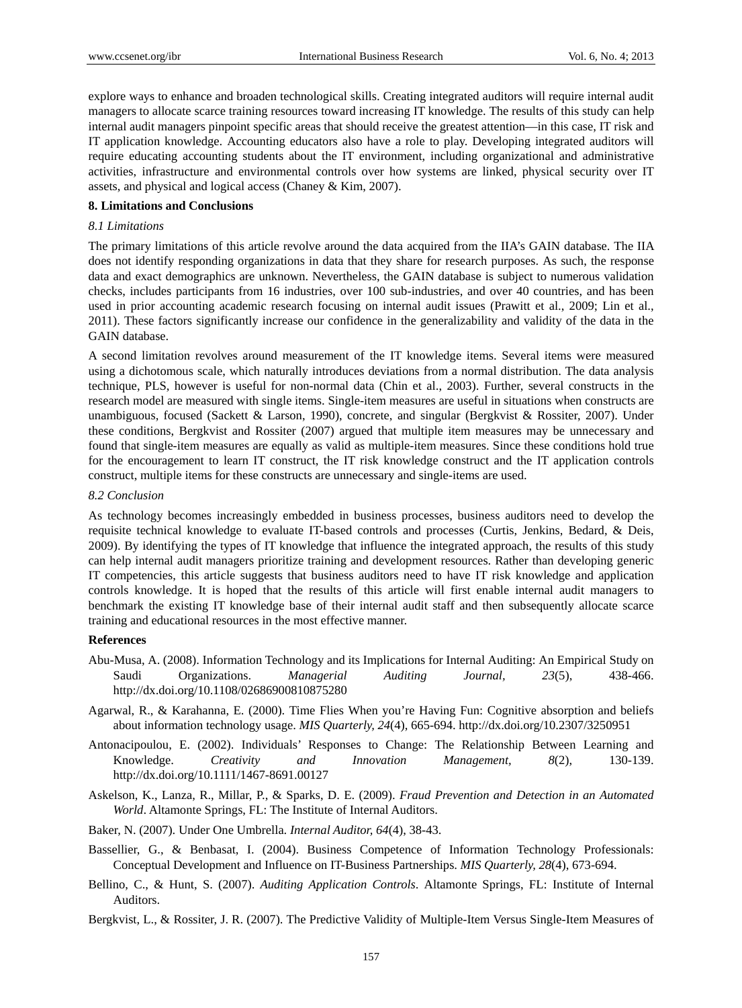explore ways to enhance and broaden technological skills. Creating integrated auditors will require internal audit managers to allocate scarce training resources toward increasing IT knowledge. The results of this study can help internal audit managers pinpoint specific areas that should receive the greatest attention—in this case, IT risk and IT application knowledge. Accounting educators also have a role to play. Developing integrated auditors will require educating accounting students about the IT environment, including organizational and administrative activities, infrastructure and environmental controls over how systems are linked, physical security over IT assets, and physical and logical access (Chaney & Kim, 2007).

# **8. Limitations and Conclusions**

#### *8.1 Limitations*

The primary limitations of this article revolve around the data acquired from the IIA's GAIN database. The IIA does not identify responding organizations in data that they share for research purposes. As such, the response data and exact demographics are unknown. Nevertheless, the GAIN database is subject to numerous validation checks, includes participants from 16 industries, over 100 sub-industries, and over 40 countries, and has been used in prior accounting academic research focusing on internal audit issues (Prawitt et al., 2009; Lin et al., 2011). These factors significantly increase our confidence in the generalizability and validity of the data in the GAIN database.

A second limitation revolves around measurement of the IT knowledge items. Several items were measured using a dichotomous scale, which naturally introduces deviations from a normal distribution. The data analysis technique, PLS, however is useful for non-normal data (Chin et al., 2003). Further, several constructs in the research model are measured with single items. Single-item measures are useful in situations when constructs are unambiguous, focused (Sackett & Larson, 1990), concrete, and singular (Bergkvist & Rossiter, 2007). Under these conditions, Bergkvist and Rossiter (2007) argued that multiple item measures may be unnecessary and found that single-item measures are equally as valid as multiple-item measures. Since these conditions hold true for the encouragement to learn IT construct, the IT risk knowledge construct and the IT application controls construct, multiple items for these constructs are unnecessary and single-items are used.

#### *8.2 Conclusion*

As technology becomes increasingly embedded in business processes, business auditors need to develop the requisite technical knowledge to evaluate IT-based controls and processes (Curtis, Jenkins, Bedard, & Deis, 2009). By identifying the types of IT knowledge that influence the integrated approach, the results of this study can help internal audit managers prioritize training and development resources. Rather than developing generic IT competencies, this article suggests that business auditors need to have IT risk knowledge and application controls knowledge. It is hoped that the results of this article will first enable internal audit managers to benchmark the existing IT knowledge base of their internal audit staff and then subsequently allocate scarce training and educational resources in the most effective manner.

#### **References**

- Abu-Musa, A. (2008). Information Technology and its Implications for Internal Auditing: An Empirical Study on Saudi Organizations. *Managerial Auditing Journal, 23*(5), 438-466. http://dx.doi.org/10.1108/02686900810875280
- Agarwal, R., & Karahanna, E. (2000). Time Flies When you're Having Fun: Cognitive absorption and beliefs about information technology usage. *MIS Quarterly, 24*(4), 665-694. http://dx.doi.org/10.2307/3250951
- Antonacipoulou, E. (2002). Individuals' Responses to Change: The Relationship Between Learning and Knowledge. *Creativity and Innovation Management, 8*(2), 130-139. http://dx.doi.org/10.1111/1467-8691.00127
- Askelson, K., Lanza, R., Millar, P., & Sparks, D. E. (2009). *Fraud Prevention and Detection in an Automated World*. Altamonte Springs, FL: The Institute of Internal Auditors.
- Baker, N. (2007). Under One Umbrella. *Internal Auditor, 64*(4), 38-43.
- Bassellier, G., & Benbasat, I. (2004). Business Competence of Information Technology Professionals: Conceptual Development and Influence on IT-Business Partnerships. *MIS Quarterly, 28*(4), 673-694.
- Bellino, C., & Hunt, S. (2007). *Auditing Application Controls*. Altamonte Springs, FL: Institute of Internal Auditors.
- Bergkvist, L., & Rossiter, J. R. (2007). The Predictive Validity of Multiple-Item Versus Single-Item Measures of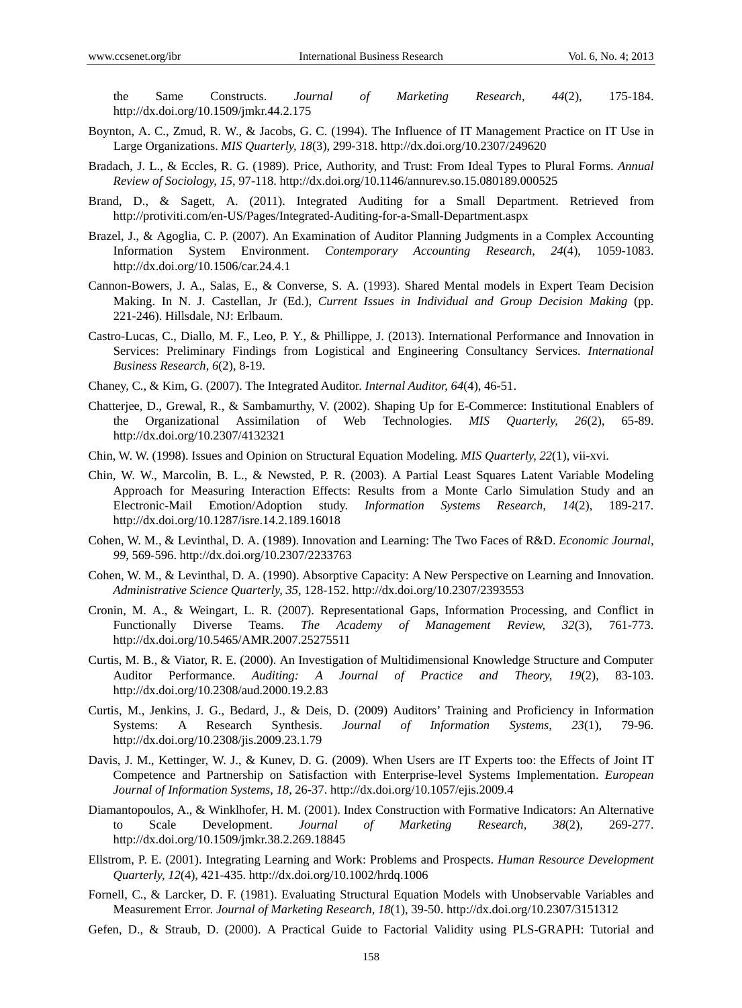the Same Constructs. *Journal of Marketing Research, 44*(2), 175-184. http://dx.doi.org/10.1509/jmkr.44.2.175

- Boynton, A. C., Zmud, R. W., & Jacobs, G. C. (1994). The Influence of IT Management Practice on IT Use in Large Organizations. *MIS Quarterly, 18*(3), 299-318. http://dx.doi.org/10.2307/249620
- Bradach, J. L., & Eccles, R. G. (1989). Price, Authority, and Trust: From Ideal Types to Plural Forms. *Annual Review of Sociology, 15*, 97-118. http://dx.doi.org/10.1146/annurev.so.15.080189.000525
- Brand, D., & Sagett, A. (2011). Integrated Auditing for a Small Department. Retrieved from http://protiviti.com/en-US/Pages/Integrated-Auditing-for-a-Small-Department.aspx
- Brazel, J., & Agoglia, C. P. (2007). An Examination of Auditor Planning Judgments in a Complex Accounting Information System Environment. *Contemporary Accounting Research, 24*(4), 1059-1083. http://dx.doi.org/10.1506/car.24.4.1
- Cannon-Bowers, J. A., Salas, E., & Converse, S. A. (1993). Shared Mental models in Expert Team Decision Making. In N. J. Castellan, Jr (Ed.), *Current Issues in Individual and Group Decision Making* (pp. 221-246). Hillsdale, NJ: Erlbaum.
- Castro-Lucas, C., Diallo, M. F., Leo, P. Y., & Phillippe, J. (2013). International Performance and Innovation in Services: Preliminary Findings from Logistical and Engineering Consultancy Services. *International Business Research, 6*(2), 8-19.
- Chaney, C., & Kim, G. (2007). The Integrated Auditor. *Internal Auditor, 64*(4), 46-51.
- Chatterjee, D., Grewal, R., & Sambamurthy, V. (2002). Shaping Up for E-Commerce: Institutional Enablers of the Organizational Assimilation of Web Technologies. *MIS Quarterly, 26*(2), 65-89. http://dx.doi.org/10.2307/4132321
- Chin, W. W. (1998). Issues and Opinion on Structural Equation Modeling. *MIS Quarterly, 22*(1), vii-xvi.
- Chin, W. W., Marcolin, B. L., & Newsted, P. R. (2003). A Partial Least Squares Latent Variable Modeling Approach for Measuring Interaction Effects: Results from a Monte Carlo Simulation Study and an Electronic-Mail Emotion/Adoption study. *Information Systems Research, 14*(2), 189-217. http://dx.doi.org/10.1287/isre.14.2.189.16018
- Cohen, W. M., & Levinthal, D. A. (1989). Innovation and Learning: The Two Faces of R&D. *Economic Journal, 99*, 569-596. http://dx.doi.org/10.2307/2233763
- Cohen, W. M., & Levinthal, D. A. (1990). Absorptive Capacity: A New Perspective on Learning and Innovation. *Administrative Science Quarterly, 35*, 128-152. http://dx.doi.org/10.2307/2393553
- Cronin, M. A., & Weingart, L. R. (2007). Representational Gaps, Information Processing, and Conflict in Functionally Diverse Teams. *The Academy of Management Review, 32*(3), 761-773. http://dx.doi.org/10.5465/AMR.2007.25275511
- Curtis, M. B., & Viator, R. E. (2000). An Investigation of Multidimensional Knowledge Structure and Computer Auditor Performance. *Auditing: A Journal of Practice and Theory, 19*(2), 83-103. http://dx.doi.org/10.2308/aud.2000.19.2.83
- Curtis, M., Jenkins, J. G., Bedard, J., & Deis, D. (2009) Auditors' Training and Proficiency in Information Systems: A Research Synthesis. *Journal of Information Systems, 23*(1), 79-96. http://dx.doi.org/10.2308/jis.2009.23.1.79
- Davis, J. M., Kettinger, W. J., & Kunev, D. G. (2009). When Users are IT Experts too: the Effects of Joint IT Competence and Partnership on Satisfaction with Enterprise-level Systems Implementation. *European Journal of Information Systems, 18*, 26-37. http://dx.doi.org/10.1057/ejis.2009.4
- Diamantopoulos, A., & Winklhofer, H. M. (2001). Index Construction with Formative Indicators: An Alternative to Scale Development. *Journal of Marketing Research, 38*(2), 269-277. http://dx.doi.org/10.1509/jmkr.38.2.269.18845
- Ellstrom, P. E. (2001). Integrating Learning and Work: Problems and Prospects. *Human Resource Development Quarterly, 12*(4), 421-435. http://dx.doi.org/10.1002/hrdq.1006
- Fornell, C., & Larcker, D. F. (1981). Evaluating Structural Equation Models with Unobservable Variables and Measurement Error. *Journal of Marketing Research, 18*(1), 39-50. http://dx.doi.org/10.2307/3151312
- Gefen, D., & Straub, D. (2000). A Practical Guide to Factorial Validity using PLS-GRAPH: Tutorial and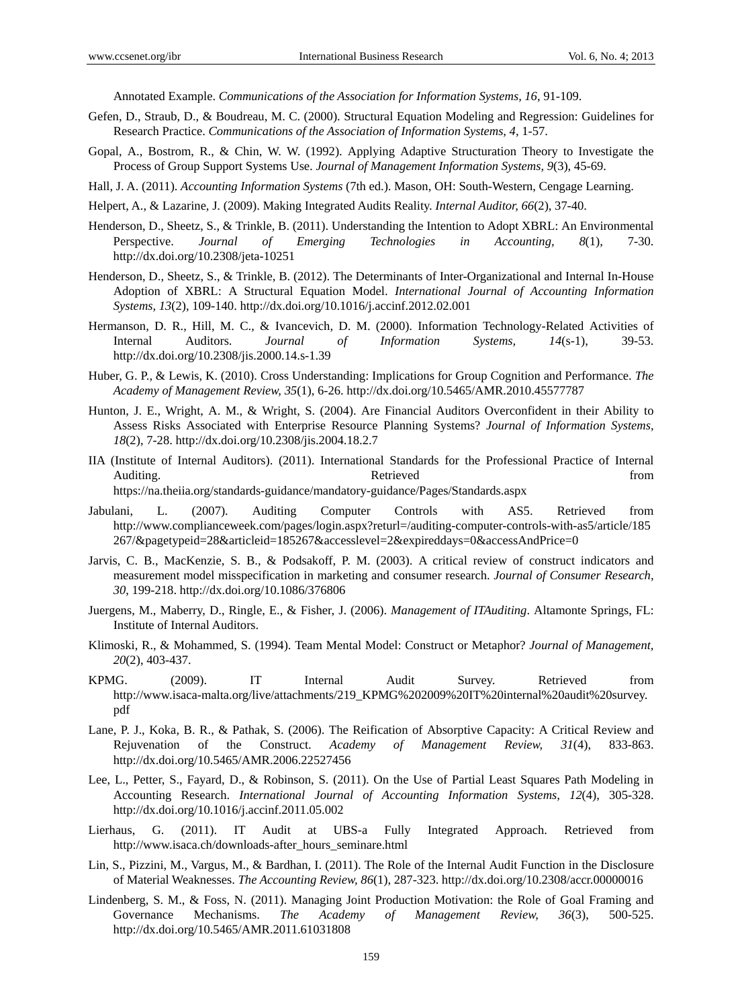Annotated Example. *Communications of the Association for Information Systems, 16*, 91-109.

- Gefen, D., Straub, D., & Boudreau, M. C. (2000). Structural Equation Modeling and Regression: Guidelines for Research Practice. *Communications of the Association of Information Systems, 4*, 1-57.
- Gopal, A., Bostrom, R., & Chin, W. W. (1992). Applying Adaptive Structuration Theory to Investigate the Process of Group Support Systems Use. *Journal of Management Information Systems, 9*(3), 45-69.
- Hall, J. A. (2011). *Accounting Information Systems* (7th ed.). Mason, OH: South-Western, Cengage Learning.
- Helpert, A., & Lazarine, J. (2009). Making Integrated Audits Reality. *Internal Auditor, 66*(2), 37-40.
- Henderson, D., Sheetz, S., & Trinkle, B. (2011). Understanding the Intention to Adopt XBRL: An Environmental Perspective. *Journal of Emerging Technologies in Accounting, 8*(1), 7-30. http://dx.doi.org/10.2308/jeta-10251
- Henderson, D., Sheetz, S., & Trinkle, B. (2012). The Determinants of Inter-Organizational and Internal In-House Adoption of XBRL: A Structural Equation Model. *International Journal of Accounting Information Systems, 13*(2), 109-140. http://dx.doi.org/10.1016/j.accinf.2012.02.001
- Hermanson, D. R., Hill, M. C., & Ivancevich, D. M. (2000). Information Technology-Related Activities of Internal Auditors. *Journal of Information Systems, 14*(s-1), 39-53. http://dx.doi.org/10.2308/jis.2000.14.s-1.39
- Huber, G. P., & Lewis, K. (2010). Cross Understanding: Implications for Group Cognition and Performance. *The Academy of Management Review, 35*(1), 6-26. http://dx.doi.org/10.5465/AMR.2010.45577787
- Hunton, J. E., Wright, A. M., & Wright, S. (2004). Are Financial Auditors Overconfident in their Ability to Assess Risks Associated with Enterprise Resource Planning Systems? *Journal of Information Systems, 18*(2), 7-28. http://dx.doi.org/10.2308/jis.2004.18.2.7
- IIA (Institute of Internal Auditors). (2011). International Standards for the Professional Practice of Internal Auditing. The contract of the contract of the Retrieved from the contract of the contract of the contract of the contract of the contract of the contract of the contract of the contract of the contract of the contract of t https://na.theiia.org/standards-guidance/mandatory-guidance/Pages/Standards.aspx
- Jabulani, L. (2007). Auditing Computer Controls with AS5. Retrieved from http://www.complianceweek.com/pages/login.aspx?returl=/auditing-computer-controls-with-as5/article/185 267/&pagetypeid=28&articleid=185267&accesslevel=2&expireddays=0&accessAndPrice=0
- Jarvis, C. B., MacKenzie, S. B., & Podsakoff, P. M. (2003). A critical review of construct indicators and measurement model misspecification in marketing and consumer research. *Journal of Consumer Research, 30*, 199-218. http://dx.doi.org/10.1086/376806
- Juergens, M., Maberry, D., Ringle, E., & Fisher, J. (2006). *Management of ITAuditing*. Altamonte Springs, FL: Institute of Internal Auditors.
- Klimoski, R., & Mohammed, S. (1994). Team Mental Model: Construct or Metaphor? *Journal of Management, 20*(2), 403-437.
- KPMG. (2009). IT Internal Audit Survey. Retrieved from http://www.isaca-malta.org/live/attachments/219\_KPMG%202009%20IT%20internal%20audit%20survey. pdf
- Lane, P. J., Koka, B. R., & Pathak, S. (2006). The Reification of Absorptive Capacity: A Critical Review and Rejuvenation of the Construct. *Academy of Management Review, 31*(4), 833-863. http://dx.doi.org/10.5465/AMR.2006.22527456
- Lee, L., Petter, S., Fayard, D., & Robinson, S. (2011). On the Use of Partial Least Squares Path Modeling in Accounting Research. *International Journal of Accounting Information Systems, 12*(4), 305-328. http://dx.doi.org/10.1016/j.accinf.2011.05.002
- Lierhaus, G. (2011). IT Audit at UBS-a Fully Integrated Approach. Retrieved from http://www.isaca.ch/downloads-after\_hours\_seminare.html
- Lin, S., Pizzini, M., Vargus, M., & Bardhan, I. (2011). The Role of the Internal Audit Function in the Disclosure of Material Weaknesses. *The Accounting Review, 86*(1), 287-323. http://dx.doi.org/10.2308/accr.00000016
- Lindenberg, S. M., & Foss, N. (2011). Managing Joint Production Motivation: the Role of Goal Framing and Governance Mechanisms. *The Academy of Management Review, 36*(3), 500-525. http://dx.doi.org/10.5465/AMR.2011.61031808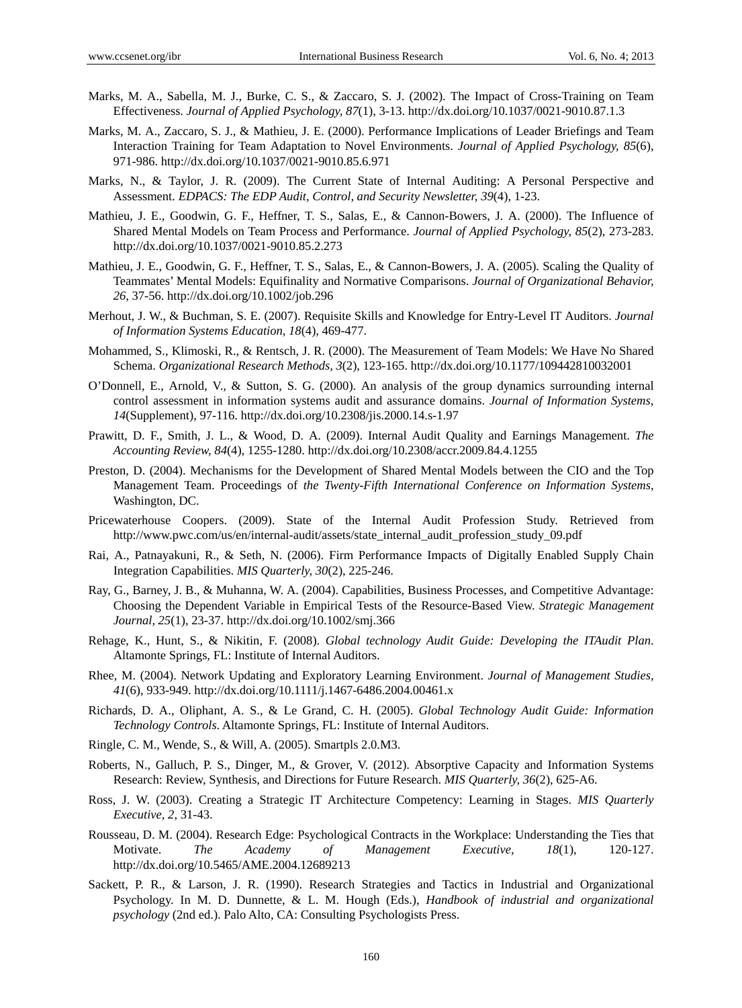- Marks, M. A., Sabella, M. J., Burke, C. S., & Zaccaro, S. J. (2002). The Impact of Cross-Training on Team Effectiveness. *Journal of Applied Psychology, 87*(1), 3-13. http://dx.doi.org/10.1037/0021-9010.87.1.3
- Marks, M. A., Zaccaro, S. J., & Mathieu, J. E. (2000). Performance Implications of Leader Briefings and Team Interaction Training for Team Adaptation to Novel Environments. *Journal of Applied Psychology, 85*(6), 971-986. http://dx.doi.org/10.1037/0021-9010.85.6.971
- Marks, N., & Taylor, J. R. (2009). The Current State of Internal Auditing: A Personal Perspective and Assessment. *EDPACS: The EDP Audit, Control, and Security Newsletter, 39*(4), 1-23.
- Mathieu, J. E., Goodwin, G. F., Heffner, T. S., Salas, E., & Cannon-Bowers, J. A. (2000). The Influence of Shared Mental Models on Team Process and Performance. *Journal of Applied Psychology, 85*(2), 273-283. http://dx.doi.org/10.1037/0021-9010.85.2.273
- Mathieu, J. E., Goodwin, G. F., Heffner, T. S., Salas, E., & Cannon-Bowers, J. A. (2005). Scaling the Quality of Teammates' Mental Models: Equifinality and Normative Comparisons. *Journal of Organizational Behavior, 26*, 37-56. http://dx.doi.org/10.1002/job.296
- Merhout, J. W., & Buchman, S. E. (2007). Requisite Skills and Knowledge for Entry-Level IT Auditors. *Journal of Information Systems Education, 18*(4), 469-477.
- Mohammed, S., Klimoski, R., & Rentsch, J. R. (2000). The Measurement of Team Models: We Have No Shared Schema. *Organizational Research Methods, 3*(2), 123-165. http://dx.doi.org/10.1177/109442810032001
- O'Donnell, E., Arnold, V., & Sutton, S. G. (2000). An analysis of the group dynamics surrounding internal control assessment in information systems audit and assurance domains. *Journal of Information Systems, 14*(Supplement), 97-116. http://dx.doi.org/10.2308/jis.2000.14.s-1.97
- Prawitt, D. F., Smith, J. L., & Wood, D. A. (2009). Internal Audit Quality and Earnings Management. *The Accounting Review, 84*(4), 1255-1280. http://dx.doi.org/10.2308/accr.2009.84.4.1255
- Preston, D. (2004). Mechanisms for the Development of Shared Mental Models between the CIO and the Top Management Team. Proceedings of *the Twenty-Fifth International Conference on Information Systems*, Washington, DC.
- Pricewaterhouse Coopers. (2009). State of the Internal Audit Profession Study. Retrieved from http://www.pwc.com/us/en/internal-audit/assets/state\_internal\_audit\_profession\_study\_09.pdf
- Rai, A., Patnayakuni, R., & Seth, N. (2006). Firm Performance Impacts of Digitally Enabled Supply Chain Integration Capabilities. *MIS Quarterly, 30*(2), 225-246.
- Ray, G., Barney, J. B., & Muhanna, W. A. (2004). Capabilities, Business Processes, and Competitive Advantage: Choosing the Dependent Variable in Empirical Tests of the Resource-Based View. *Strategic Management Journal, 25*(1), 23-37. http://dx.doi.org/10.1002/smj.366
- Rehage, K., Hunt, S., & Nikitin, F. (2008). *Global technology Audit Guide: Developing the ITAudit Plan*. Altamonte Springs, FL: Institute of Internal Auditors.
- Rhee, M. (2004). Network Updating and Exploratory Learning Environment. *Journal of Management Studies, 41*(6), 933-949. http://dx.doi.org/10.1111/j.1467-6486.2004.00461.x
- Richards, D. A., Oliphant, A. S., & Le Grand, C. H. (2005). *Global Technology Audit Guide: Information Technology Controls*. Altamonte Springs, FL: Institute of Internal Auditors.
- Ringle, C. M., Wende, S., & Will, A. (2005). Smartpls 2.0.M3.
- Roberts, N., Galluch, P. S., Dinger, M., & Grover, V. (2012). Absorptive Capacity and Information Systems Research: Review, Synthesis, and Directions for Future Research. *MIS Quarterly, 36*(2), 625-A6.
- Ross, J. W. (2003). Creating a Strategic IT Architecture Competency: Learning in Stages. *MIS Quarterly Executive, 2*, 31-43.
- Rousseau, D. M. (2004). Research Edge: Psychological Contracts in the Workplace: Understanding the Ties that Motivate. *The Academy of Management Executive, 18*(1), 120-127. http://dx.doi.org/10.5465/AME.2004.12689213
- Sackett, P. R., & Larson, J. R. (1990). Research Strategies and Tactics in Industrial and Organizational Psychology. In M. D. Dunnette, & L. M. Hough (Eds.), *Handbook of industrial and organizational psychology* (2nd ed.). Palo Alto, CA: Consulting Psychologists Press.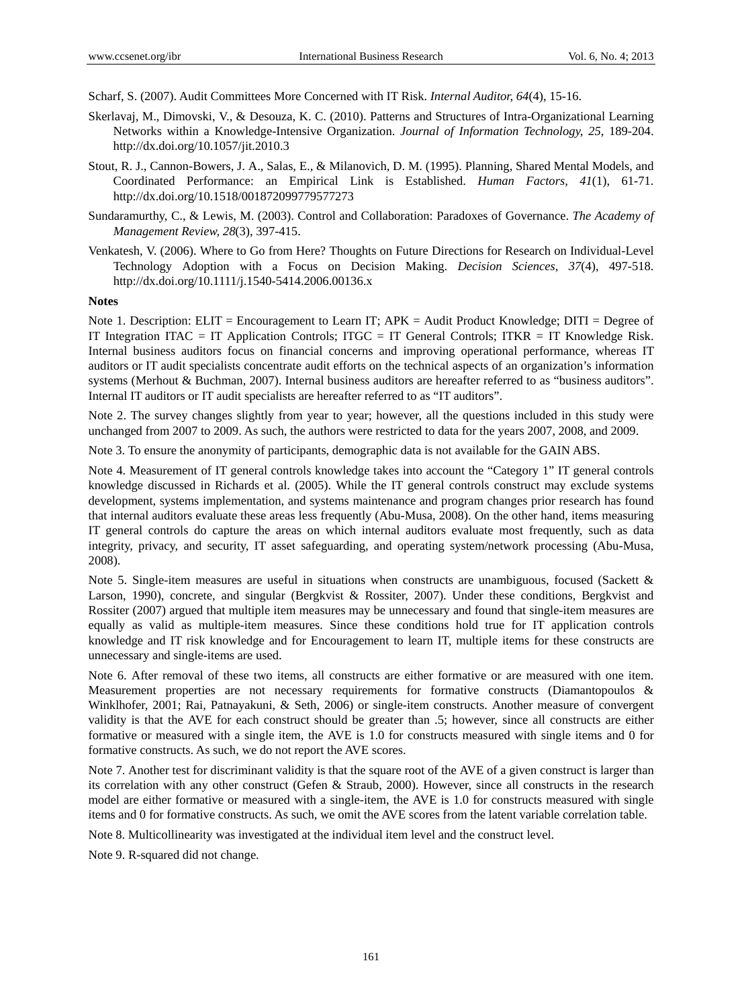Scharf, S. (2007). Audit Committees More Concerned with IT Risk. *Internal Auditor, 64*(4), 15-16.

- Skerlavaj, M., Dimovski, V., & Desouza, K. C. (2010). Patterns and Structures of Intra-Organizational Learning Networks within a Knowledge-Intensive Organization. *Journal of Information Technology, 25*, 189-204. http://dx.doi.org/10.1057/jit.2010.3
- Stout, R. J., Cannon-Bowers, J. A., Salas, E., & Milanovich, D. M. (1995). Planning, Shared Mental Models, and Coordinated Performance: an Empirical Link is Established. *Human Factors, 41*(1), 61-71. http://dx.doi.org/10.1518/001872099779577273
- Sundaramurthy, C., & Lewis, M. (2003). Control and Collaboration: Paradoxes of Governance. *The Academy of Management Review, 28*(3), 397-415.
- Venkatesh, V. (2006). Where to Go from Here? Thoughts on Future Directions for Research on Individual-Level Technology Adoption with a Focus on Decision Making. *Decision Sciences, 37*(4), 497-518. http://dx.doi.org/10.1111/j.1540-5414.2006.00136.x

#### **Notes**

Note 1. Description: ELIT = Encouragement to Learn IT; APK = Audit Product Knowledge; DITI = Degree of IT Integration ITAC = IT Application Controls; ITGC = IT General Controls; ITKR = IT Knowledge Risk. Internal business auditors focus on financial concerns and improving operational performance, whereas IT auditors or IT audit specialists concentrate audit efforts on the technical aspects of an organization's information systems (Merhout & Buchman, 2007). Internal business auditors are hereafter referred to as "business auditors". Internal IT auditors or IT audit specialists are hereafter referred to as "IT auditors".

Note 2. The survey changes slightly from year to year; however, all the questions included in this study were unchanged from 2007 to 2009. As such, the authors were restricted to data for the years 2007, 2008, and 2009.

Note 3. To ensure the anonymity of participants, demographic data is not available for the GAIN ABS.

Note 4. Measurement of IT general controls knowledge takes into account the "Category 1" IT general controls knowledge discussed in Richards et al. (2005). While the IT general controls construct may exclude systems development, systems implementation, and systems maintenance and program changes prior research has found that internal auditors evaluate these areas less frequently (Abu-Musa, 2008). On the other hand, items measuring IT general controls do capture the areas on which internal auditors evaluate most frequently, such as data integrity, privacy, and security, IT asset safeguarding, and operating system/network processing (Abu-Musa, 2008).

Note 5. Single-item measures are useful in situations when constructs are unambiguous, focused (Sackett & Larson, 1990), concrete, and singular (Bergkvist & Rossiter, 2007). Under these conditions, Bergkvist and Rossiter (2007) argued that multiple item measures may be unnecessary and found that single-item measures are equally as valid as multiple-item measures. Since these conditions hold true for IT application controls knowledge and IT risk knowledge and for Encouragement to learn IT, multiple items for these constructs are unnecessary and single-items are used.

Note 6. After removal of these two items, all constructs are either formative or are measured with one item. Measurement properties are not necessary requirements for formative constructs (Diamantopoulos & Winklhofer, 2001; Rai, Patnayakuni, & Seth, 2006) or single-item constructs. Another measure of convergent validity is that the AVE for each construct should be greater than .5; however, since all constructs are either formative or measured with a single item, the AVE is 1.0 for constructs measured with single items and 0 for formative constructs. As such, we do not report the AVE scores.

Note 7. Another test for discriminant validity is that the square root of the AVE of a given construct is larger than its correlation with any other construct (Gefen & Straub, 2000). However, since all constructs in the research model are either formative or measured with a single-item, the AVE is 1.0 for constructs measured with single items and 0 for formative constructs. As such, we omit the AVE scores from the latent variable correlation table.

Note 8. Multicollinearity was investigated at the individual item level and the construct level.

Note 9. R-squared did not change.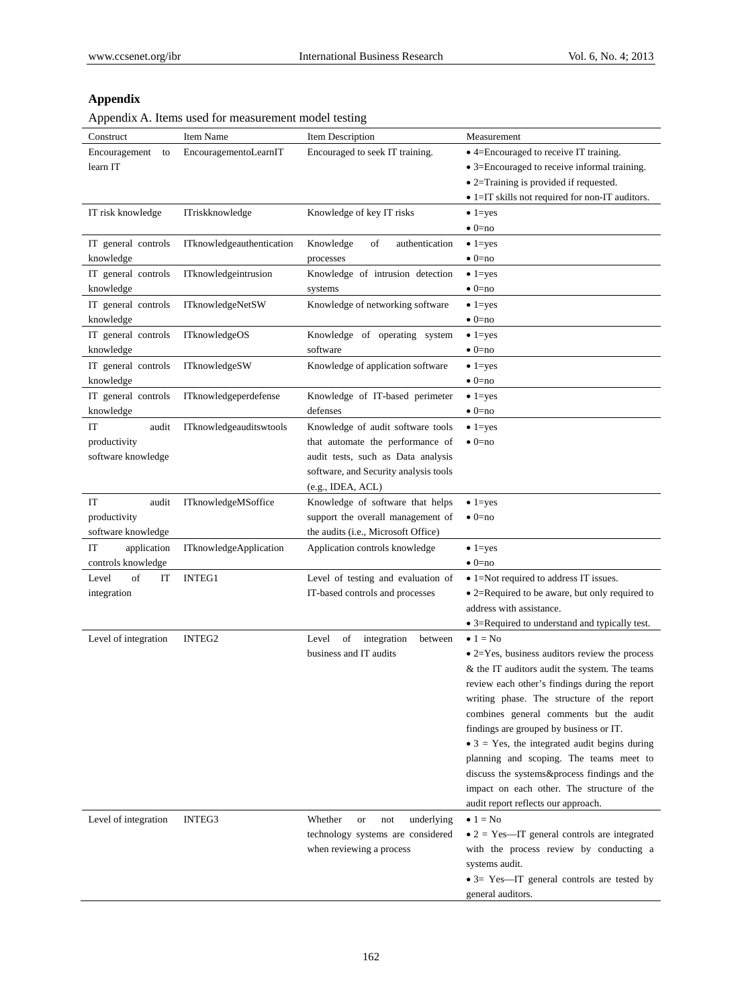# **Appendix**

Appendix A. Items used for measurement model testing

| T T                  |                               |                                       |                                                        |
|----------------------|-------------------------------|---------------------------------------|--------------------------------------------------------|
| Construct            | Item Name                     | Item Description                      | Measurement                                            |
| Encouragement<br>to  | EncouragementoLearnIT         | Encouraged to seek IT training.       | • 4=Encouraged to receive IT training.                 |
| learn IT             |                               |                                       | • 3=Encouraged to receive informal training.           |
|                      |                               |                                       | • 2=Training is provided if requested.                 |
|                      |                               |                                       | • 1=IT skills not required for non-IT auditors.        |
| IT risk knowledge    | ITriskknowledge               | Knowledge of key IT risks             | $\bullet$ 1=yes                                        |
|                      |                               |                                       | $\bullet$ 0=no                                         |
| IT general controls  | ITknowledgeauthentication     | Knowledge<br>of<br>authentication     | $\bullet$ 1=yes                                        |
| knowledge            |                               | processes                             | $\bullet$ 0=no                                         |
| IT general controls  | ITknowledgeintrusion          | Knowledge of intrusion detection      | $\bullet$ 1=yes                                        |
| knowledge            |                               | systems                               | $\bullet$ 0=no                                         |
| IT general controls  | ITknowledgeNetSW              | Knowledge of networking software      | $\bullet$ 1=yes                                        |
| knowledge            |                               |                                       | $\bullet$ 0=no                                         |
| IT general controls  | <b>ITknowledgeOS</b>          | Knowledge of operating system         | $\bullet$ 1=yes                                        |
| knowledge            |                               | software                              | $\bullet$ 0=no                                         |
| IT general controls  | ITknowledgeSW                 | Knowledge of application software     | $\bullet$ 1=yes                                        |
| knowledge            |                               |                                       | $\bullet$ 0=no                                         |
| IT general controls  | ITknowledgeperdefense         | Knowledge of IT-based perimeter       | $\bullet$ 1=yes                                        |
| knowledge            |                               | defenses                              | $\bullet$ 0=no                                         |
| IT<br>audit          | ITknowledgeauditswtools       | Knowledge of audit software tools     | $\bullet$ 1=yes                                        |
| productivity         |                               | that automate the performance of      | $\bullet$ 0=no                                         |
| software knowledge   |                               | audit tests, such as Data analysis    |                                                        |
|                      |                               | software, and Security analysis tools |                                                        |
|                      |                               | (e.g., IDEA, ACL)                     |                                                        |
| IT<br>audit          | ITknowledgeMSoffice           | Knowledge of software that helps      | $\bullet$ 1=yes                                        |
| productivity         |                               | support the overall management of     | $\bullet$ 0=no                                         |
| software knowledge   |                               | the audits (i.e., Microsoft Office)   |                                                        |
| IT<br>application    | <b>ITknowledgeApplication</b> | Application controls knowledge        | $\bullet$ 1=yes                                        |
| controls knowledge   |                               |                                       | $\bullet$ 0=no                                         |
| οf<br>Level<br>IT    | <b>INTEG1</b>                 | Level of testing and evaluation of    | $\bullet$ 1=Not required to address IT issues.         |
| integration          |                               | IT-based controls and processes       | $\bullet$ 2=Required to be aware, but only required to |
|                      |                               |                                       | address with assistance.                               |
|                      |                               |                                       | • 3=Required to understand and typically test.         |
| Level of integration | INTEG2                        | Level<br>of<br>integration<br>between | $\bullet$ 1 = No                                       |
|                      |                               | business and IT audits                | $\bullet$ 2=Yes, business auditors review the process  |
|                      |                               |                                       | & the IT auditors audit the system. The teams          |
|                      |                               |                                       | review each other's findings during the report         |
|                      |                               |                                       | writing phase. The structure of the report             |
|                      |                               |                                       | combines general comments but the audit                |
|                      |                               |                                       | findings are grouped by business or IT.                |
|                      |                               |                                       | $\bullet$ 3 = Yes, the integrated audit begins during  |
|                      |                               |                                       | planning and scoping. The teams meet to                |
|                      |                               |                                       | discuss the systems&process findings and the           |
|                      |                               |                                       | impact on each other. The structure of the             |
|                      |                               |                                       | audit report reflects our approach.                    |
| Level of integration | INTEG3                        | Whether<br>underlying<br>or<br>not    | $\bullet$ 1 = No                                       |
|                      |                               | technology systems are considered     | $\bullet$ 2 = Yes—IT general controls are integrated   |
|                      |                               | when reviewing a process              | with the process review by conducting a                |
|                      |                               |                                       | systems audit.                                         |
|                      |                               |                                       | • 3= Yes-IT general controls are tested by             |
|                      |                               |                                       | general auditors.                                      |